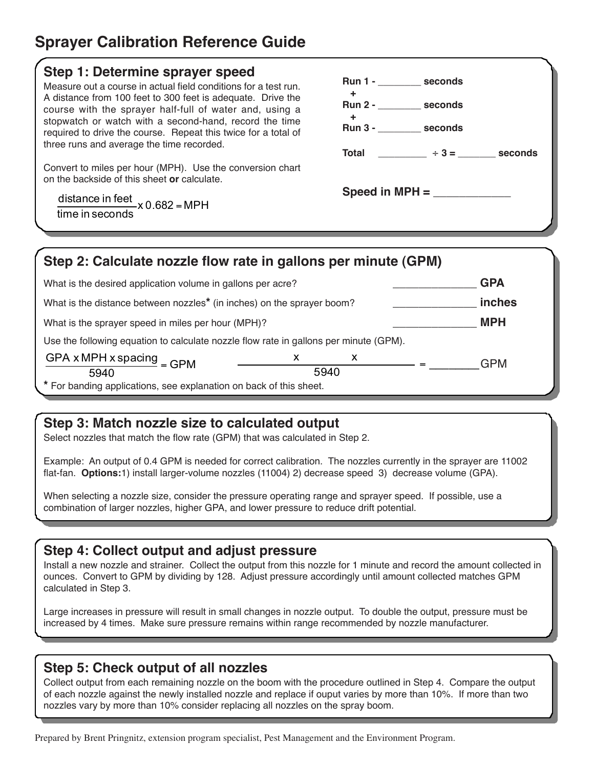# **Sprayer Calibration Reference Guide**

#### **Step 1: Determine sprayer speed**

Measure out a course in actual field conditions for a test run. A distance from 100 feet to 300 feet is adequate. Drive the course with the sprayer half-full of water and, using a stopwatch or watch with a second-hand, record the time required to drive the course. Repeat this twice for a total of three runs and average the time recorded.

Convert to miles per hour (MPH). Use the conversion chart on the backside of this sheet **or** calculate.

 0.682 x MPH time in seconds distance in feet<br> $\frac{1}{2}$  x 0.682 =

| Run 1 - seconds<br>÷ |                                    |  |
|----------------------|------------------------------------|--|
| Run 2 - seconds<br>÷ |                                    |  |
| Run 3 - seconds      |                                    |  |
|                      | Total ________ ÷ 3 = _____ seconds |  |
|                      |                                    |  |
|                      |                                    |  |

| Step 2: Calculate nozzle flow rate in gallons per minute (GPM)                        |      |   |            |
|---------------------------------------------------------------------------------------|------|---|------------|
| What is the desired application volume in gallons per acre?                           |      |   | <b>GPA</b> |
| What is the distance between nozzles <sup>*</sup> (in inches) on the sprayer boom?    |      |   | inches     |
| What is the sprayer speed in miles per hour (MPH)?                                    |      |   | <b>MPH</b> |
| Use the following equation to calculate nozzle flow rate in gallons per minute (GPM). |      |   |            |
| GPA x MPH x spacing $=$ GPM                                                           | X    | X | <b>GPM</b> |
| 5940                                                                                  | 5940 |   |            |
| * For banding applications, see explanation on back of this sheet.                    |      |   |            |

## **Step 3: Match nozzle size to calculated output**

Select nozzles that match the flow rate (GPM) that was calculated in Step 2.

Example: An output of 0.4 GPM is needed for correct calibration. The nozzles currently in the sprayer are 11002 flat-fan. **Options:**1) install larger-volume nozzles (11004) 2) decrease speed 3) decrease volume (GPA).

When selecting a nozzle size, consider the pressure operating range and sprayer speed. If possible, use a combination of larger nozzles, higher GPA, and lower pressure to reduce drift potential.

#### **Step 4: Collect output and adjust pressure**

Install a new nozzle and strainer. Collect the output from this nozzle for 1 minute and record the amount collected in ounces. Convert to GPM by dividing by 128. Adjust pressure accordingly until amount collected matches GPM calculated in Step 3.

Large increases in pressure will result in small changes in nozzle output. To double the output, pressure must be increased by 4 times. Make sure pressure remains within range recommended by nozzle manufacturer.

#### **Step 5: Check output of all nozzles**

Collect output from each remaining nozzle on the boom with the procedure outlined in Step 4. Compare the output of each nozzle against the newly installed nozzle and replace if ouput varies by more than 10%. If more than two nozzles vary by more than 10% consider replacing all nozzles on the spray boom.

Prepared by Brent Pringnitz, extension program specialist, Pest Management and the Environment Program.